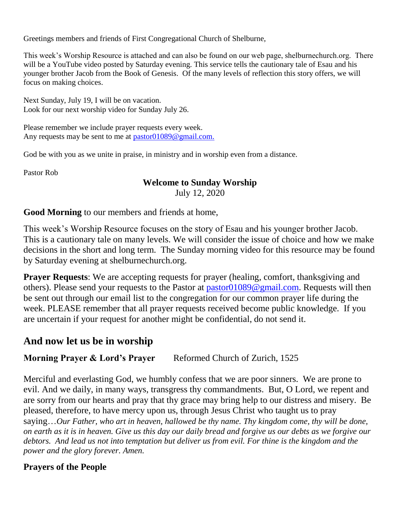Greetings members and friends of First Congregational Church of Shelburne,

This week's Worship Resource is attached and can also be found on our web page, shelburnechurch.org. There will be a YouTube video posted by Saturday evening. This service tells the cautionary tale of Esau and his younger brother Jacob from the Book of Genesis. Of the many levels of reflection this story offers, we will focus on making choices.

Next Sunday, July 19, I will be on vacation. Look for our next worship video for Sunday July 26.

Please remember we include prayer requests every week. Any requests may be sent to me at [pastor01089@gmail.com.](mailto:pastor01089@gmail.com)

God be with you as we unite in praise, in ministry and in worship even from a distance.

Pastor Rob

### **Welcome to Sunday Worship**

July 12, 2020

**Good Morning** to our members and friends at home,

This week's Worship Resource focuses on the story of Esau and his younger brother Jacob. This is a cautionary tale on many levels. We will consider the issue of choice and how we make decisions in the short and long term. The Sunday morning video for this resource may be found by Saturday evening at shelburnechurch.org.

**Prayer Requests:** We are accepting requests for prayer (healing, comfort, thanksgiving and others). Please send your requests to the Pastor at [pastor01089@gmail.com.](mailto:pastor01089@gmail.com) Requests will then be sent out through our email list to the congregation for our common prayer life during the week. PLEASE remember that all prayer requests received become public knowledge. If you are uncertain if your request for another might be confidential, do not send it.

# **And now let us be in worship**

**Morning Prayer & Lord's Prayer** Reformed Church of Zurich, 1525

Merciful and everlasting God, we humbly confess that we are poor sinners. We are prone to evil. And we daily, in many ways, transgress thy commandments. But, O Lord, we repent and are sorry from our hearts and pray that thy grace may bring help to our distress and misery. Be pleased, therefore, to have mercy upon us, through Jesus Christ who taught us to pray saying…*Our Father, who art in heaven, hallowed be thy name. Thy kingdom come, thy will be done, on earth as it is in heaven. Give us this day our daily bread and forgive us our debts as we forgive our debtors. And lead us not into temptation but deliver us from evil. For thine is the kingdom and the power and the glory forever. Amen.*

## **Prayers of the People**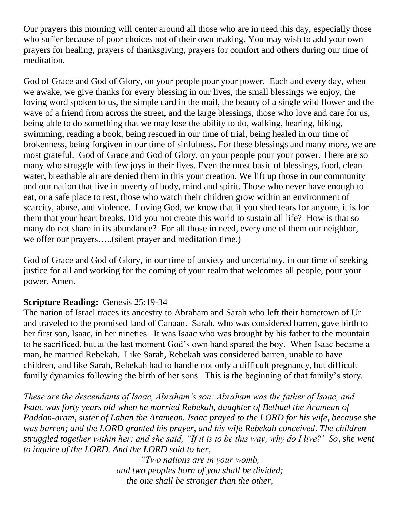Our prayers this morning will center around all those who are in need this day, especially those who suffer because of poor choices not of their own making. You may wish to add your own prayers for healing, prayers of thanksgiving, prayers for comfort and others during our time of meditation.

God of Grace and God of Glory, on your people pour your power. Each and every day, when we awake, we give thanks for every blessing in our lives, the small blessings we enjoy, the loving word spoken to us, the simple card in the mail, the beauty of a single wild flower and the wave of a friend from across the street, and the large blessings, those who love and care for us, being able to do something that we may lose the ability to do, walking, hearing, hiking, swimming, reading a book, being rescued in our time of trial, being healed in our time of brokenness, being forgiven in our time of sinfulness. For these blessings and many more, we are most grateful. God of Grace and God of Glory, on your people pour your power. There are so many who struggle with few joys in their lives. Even the most basic of blessings, food, clean water, breathable air are denied them in this your creation. We lift up those in our community and our nation that live in poverty of body, mind and spirit. Those who never have enough to eat, or a safe place to rest, those who watch their children grow within an environment of scarcity, abuse, and violence. Loving God, we know that if you shed tears for anyone, it is for them that your heart breaks. Did you not create this world to sustain all life? How is that so many do not share in its abundance? For all those in need, every one of them our neighbor, we offer our prayers…..(silent prayer and meditation time.)

God of Grace and God of Glory, in our time of anxiety and uncertainty, in our time of seeking justice for all and working for the coming of your realm that welcomes all people, pour your power. Amen.

## **Scripture Reading: Genesis 25:19-34**

The nation of Israel traces its ancestry to Abraham and Sarah who left their hometown of Ur and traveled to the promised land of Canaan. Sarah, who was considered barren, gave birth to her first son, Isaac, in her nineties. It was Isaac who was brought by his father to the mountain to be sacrificed, but at the last moment God's own hand spared the boy. When Isaac became a man, he married Rebekah. Like Sarah, Rebekah was considered barren, unable to have children, and like Sarah, Rebekah had to handle not only a difficult pregnancy, but difficult family dynamics following the birth of her sons. This is the beginning of that family's story.

*These are the descendants of Isaac, Abraham's son: Abraham was the father of Isaac, and Isaac was forty years old when he married Rebekah, daughter of Bethuel the Aramean of Paddan-aram, sister of Laban the Aramean. Isaac prayed to the LORD for his wife, because she was barren; and the LORD granted his prayer, and his wife Rebekah conceived. The children struggled together within her; and she said, "If it is to be this way, why do I live?" So, she went to inquire of the LORD. And the LORD said to her,*

*"Two nations are in your womb, and two peoples born of you shall be divided; the one shall be stronger than the other,*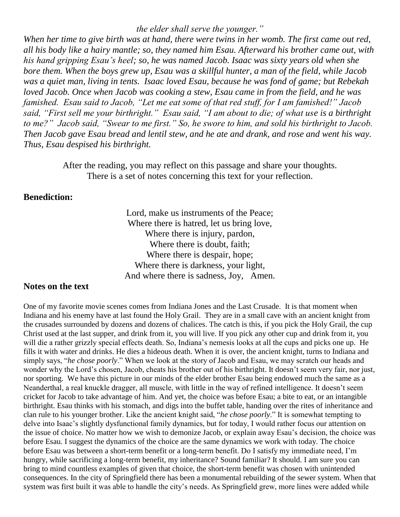*the elder shall serve the younger."*

*When her time to give birth was at hand, there were twins in her womb. The first came out red, all his body like a hairy mantle; so, they named him Esau. Afterward his brother came out, with his hand gripping Esau's heel; so, he was named Jacob. Isaac was sixty years old when she bore them. When the boys grew up, Esau was a skillful hunter, a man of the field, while Jacob was a quiet man, living in tents. Isaac loved Esau, because he was fond of game; but Rebekah loved Jacob. Once when Jacob was cooking a stew, Esau came in from the field, and he was famished. Esau said to Jacob, "Let me eat some of that red stuff, for I am famished!" Jacob said, "First sell me your birthright." Esau said, "I am about to die; of what use is a birthright to me?" Jacob said, "Swear to me first." So, he swore to him, and sold his birthright to Jacob. Then Jacob gave Esau bread and lentil stew, and he ate and drank, and rose and went his way. Thus, Esau despised his birthright.*

> After the reading, you may reflect on this passage and share your thoughts. There is a set of notes concerning this text for your reflection.

#### **Benediction:**

Lord, make us instruments of the Peace; Where there is hatred, let us bring love, Where there is injury, pardon, Where there is doubt, faith; Where there is despair, hope; Where there is darkness, your light, And where there is sadness, Joy, Amen.

#### **Notes on the text**

One of my favorite movie scenes comes from Indiana Jones and the Last Crusade. It is that moment when Indiana and his enemy have at last found the Holy Grail. They are in a small cave with an ancient knight from the crusades surrounded by dozens and dozens of chalices. The catch is this, if you pick the Holy Grail, the cup Christ used at the last supper, and drink from it, you will live. If you pick any other cup and drink from it, you will die a rather grizzly special effects death. So, Indiana's nemesis looks at all the cups and picks one up. He fills it with water and drinks. He dies a hideous death. When it is over, the ancient knight, turns to Indiana and simply says, "*he chose poorly*." When we look at the story of Jacob and Esau, we may scratch our heads and wonder why the Lord's chosen, Jacob, cheats his brother out of his birthright. It doesn't seem very fair, nor just, nor sporting. We have this picture in our minds of the elder brother Esau being endowed much the same as a Neanderthal, a real knuckle dragger, all muscle, with little in the way of refined intelligence. It doesn't seem cricket for Jacob to take advantage of him. And yet, the choice was before Esau; a bite to eat, or an intangible birthright. Esau thinks with his stomach, and digs into the buffet table, handing over the rites of inheritance and clan rule to his younger brother. Like the ancient knight said, "*he chose poorly*." It is somewhat tempting to delve into Isaac's slightly dysfunctional family dynamics, but for today, I would rather focus our attention on the issue of choice. No matter how we wish to demonize Jacob, or explain away Esau's decision, the choice was before Esau. I suggest the dynamics of the choice are the same dynamics we work with today. The choice before Esau was between a short-term benefit or a long-term benefit. Do I satisfy my immediate need, I'm hungry, while sacrificing a long-term benefit, my inheritance? Sound familiar? It should. I am sure you can bring to mind countless examples of given that choice, the short-term benefit was chosen with unintended consequences. In the city of Springfield there has been a monumental rebuilding of the sewer system. When that system was first built it was able to handle the city's needs. As Springfield grew, more lines were added while